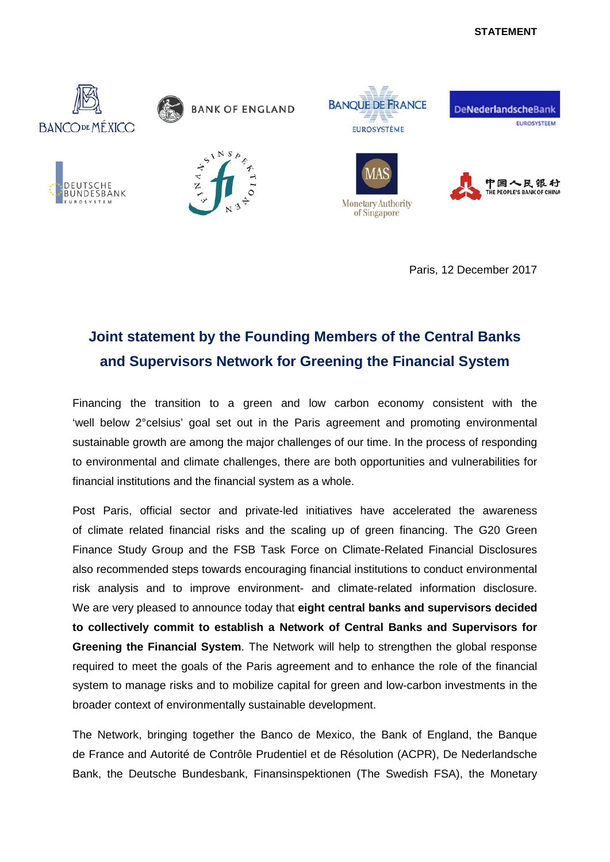## **STATEMENT**



Paris, 12 December 2017

## **Joint statement by the Founding Members of the Central Banks and Supervisors Network for Greening the Financial System**

Financing the transition to a green and low carbon economy consistent with the 'well below 2°celsius' goal set out in the Paris agreement and promoting environmental sustainable growth are among the major challenges of our time. In the process of responding to environmental and climate challenges, there are both opportunities and vulnerabilities for financial institutions and the financial system as a whole.

Post Paris, official sector and private-led initiatives have accelerated the awareness of climate related financial risks and the scaling up of green financing. The G20 Green Finance Study Group and the FSB Task Force on Climate-Related Financial Disclosures also recommended steps towards encouraging financial institutions to conduct environmental risk analysis and to improve environment- and climate-related information disclosure. We are very pleased to announce today that **eight central banks and supervisors decided to collectively commit to establish a Network of Central Banks and Supervisors for Greening the Financial System**. The Network will help to strengthen the global response required to meet the goals of the Paris agreement and to enhance the role of the financial system to manage risks and to mobilize capital for green and low-carbon investments in the broader context of environmentally sustainable development.

The Network, bringing together the Banco de Mexico, the Bank of England, the Banque de France and Autorité de Contrôle Prudentiel et de Résolution (ACPR), De Nederlandsche Bank, the Deutsche Bundesbank, Finansinspektionen (The Swedish FSA), the Monetary